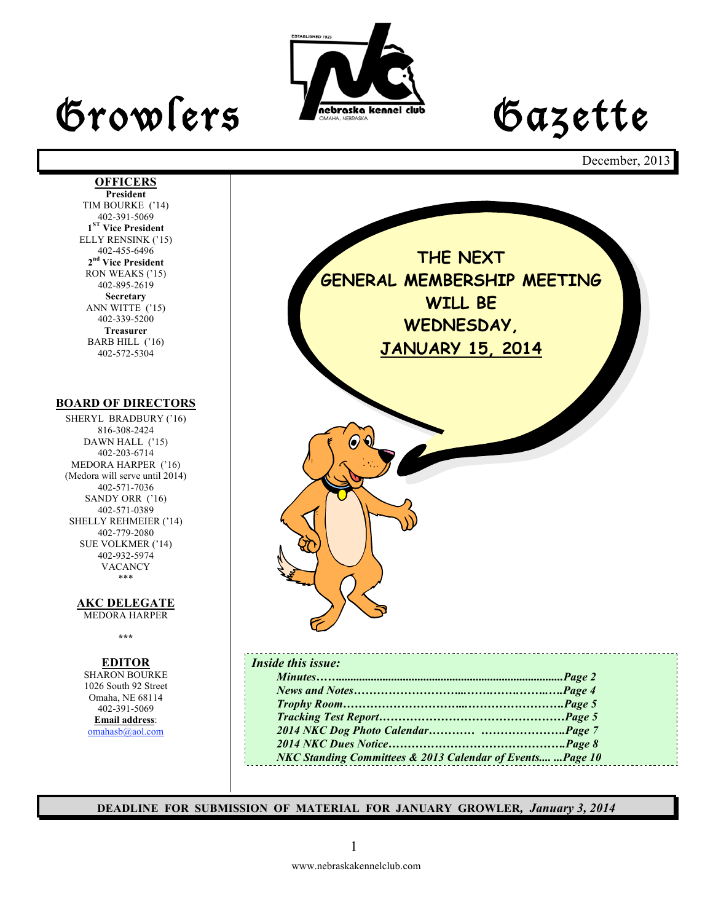

**OFFICERS President** TIM BOURKE ('14) 402-391-5069 **1ST Vice President** ELLY RENSINK ('15) 402-455-6496 **2nd Vice President** RON WEAKS ('15) 402-895-2619 **Secretary** ANN WITTE ('15) 402-339-5200 **Treasurer** BARB HILL ('16) 402-572-5304

**BOARD OF DIRECTORS** SHERYL BRADBURY ('16) 816-308-2424 DAWN HALL ('15) 402-203-6714 MEDORA HARPER ('16) (Medora will serve until 2014) 402-571-7036 SANDY ORR ('16) 402-571-0389 SHELLY REHMEIER ('14) 402-779-2080 SUE VOLKMER ('14) 402-932-5974 VACANCY \*\*\*

> **AKC DELEGATE**  MEDORA HARPER **\*\*\***

**EDITOR** SHARON BOURKE 1026 South 92 Street Omaha, NE 68114 402-391-5069 **Email address**: omahasb@aol.com

December, 2013



**DEADLINE FOR SUBMISSION OF MATERIAL FOR JANUARY GROWLER***, January 3, 2014*

### 1

www.nebraskakennelclub.com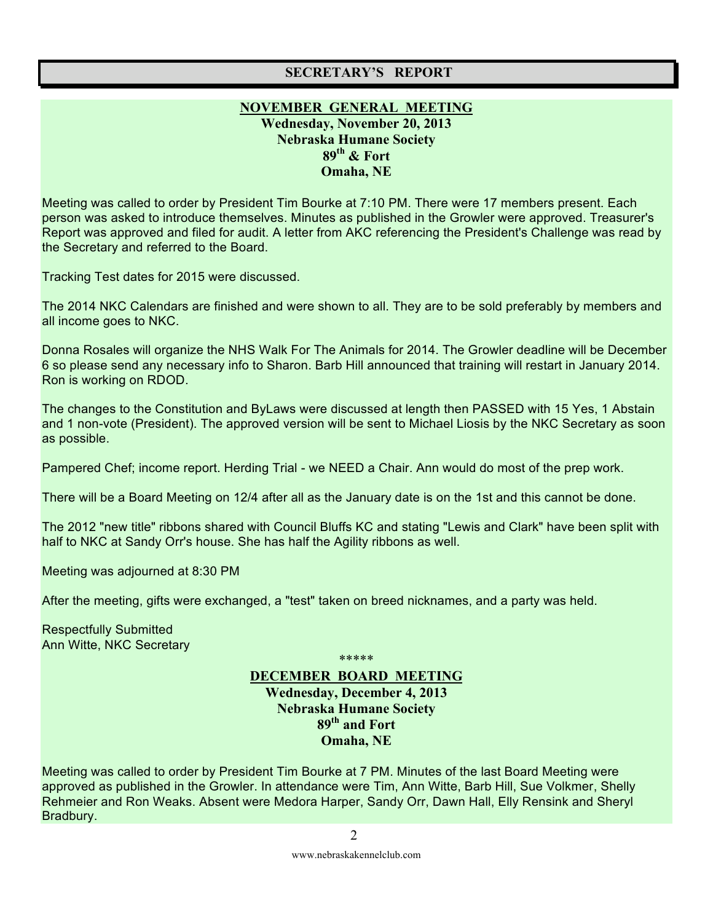### **SECRETARY'S REPORT**

### **NOVEMBER GENERAL MEETING Wednesday, November 20, 2013 Nebraska Humane Society 89th & Fort Omaha, NE**

Meeting was called to order by President Tim Bourke at 7:10 PM. There were 17 members present. Each person was asked to introduce themselves. Minutes as published in the Growler were approved. Treasurer's Report was approved and filed for audit. A letter from AKC referencing the President's Challenge was read by the Secretary and referred to the Board.

Tracking Test dates for 2015 were discussed.

The 2014 NKC Calendars are finished and were shown to all. They are to be sold preferably by members and all income goes to NKC.

Donna Rosales will organize the NHS Walk For The Animals for 2014. The Growler deadline will be December 6 so please send any necessary info to Sharon. Barb Hill announced that training will restart in January 2014. Ron is working on RDOD.

The changes to the Constitution and ByLaws were discussed at length then PASSED with 15 Yes, 1 Abstain and 1 non-vote (President). The approved version will be sent to Michael Liosis by the NKC Secretary as soon as possible.

Pampered Chef; income report. Herding Trial - we NEED a Chair. Ann would do most of the prep work.

There will be a Board Meeting on 12/4 after all as the January date is on the 1st and this cannot be done.

The 2012 "new title" ribbons shared with Council Bluffs KC and stating "Lewis and Clark" have been split with half to NKC at Sandy Orr's house. She has half the Agility ribbons as well.

Meeting was adjourned at 8:30 PM

After the meeting, gifts were exchanged, a "test" taken on breed nicknames, and a party was held.

Respectfully Submitted Ann Witte, NKC Secretary

\*\*\*\*\*

### **DECEMBER BOARD MEETING Wednesday, December 4, 2013 Nebraska Humane Society 89th and Fort Omaha, NE**

Meeting was called to order by President Tim Bourke at 7 PM. Minutes of the last Board Meeting were approved as published in the Growler. In attendance were Tim, Ann Witte, Barb Hill, Sue Volkmer, Shelly Rehmeier and Ron Weaks. Absent were Medora Harper, Sandy Orr, Dawn Hall, Elly Rensink and Sheryl Bradbury.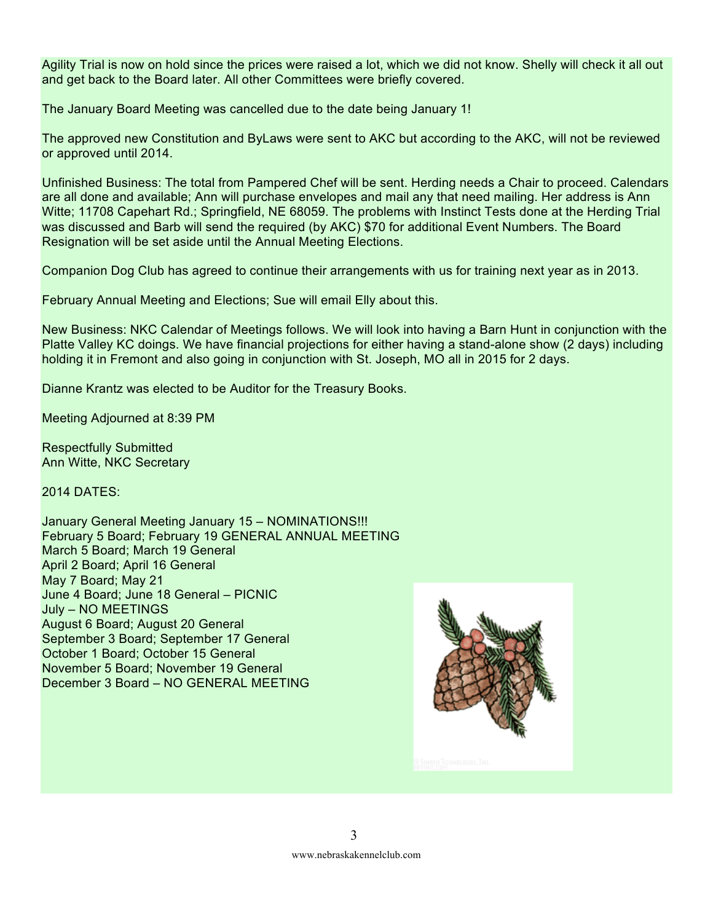Agility Trial is now on hold since the prices were raised a lot, which we did not know. Shelly will check it all out and get back to the Board later. All other Committees were briefly covered.

The January Board Meeting was cancelled due to the date being January 1!

The approved new Constitution and ByLaws were sent to AKC but according to the AKC, will not be reviewed or approved until 2014.

Unfinished Business: The total from Pampered Chef will be sent. Herding needs a Chair to proceed. Calendars are all done and available; Ann will purchase envelopes and mail any that need mailing. Her address is Ann Witte; 11708 Capehart Rd.; Springfield, NE 68059. The problems with Instinct Tests done at the Herding Trial was discussed and Barb will send the required (by AKC) \$70 for additional Event Numbers. The Board Resignation will be set aside until the Annual Meeting Elections.

Companion Dog Club has agreed to continue their arrangements with us for training next year as in 2013.

February Annual Meeting and Elections; Sue will email Elly about this.

New Business: NKC Calendar of Meetings follows. We will look into having a Barn Hunt in conjunction with the Platte Valley KC doings. We have financial projections for either having a stand-alone show (2 days) including holding it in Fremont and also going in conjunction with St. Joseph, MO all in 2015 for 2 days.

Dianne Krantz was elected to be Auditor for the Treasury Books.

Meeting Adjourned at 8:39 PM

Respectfully Submitted Ann Witte, NKC Secretary

2014 DATES:

January General Meeting January 15 – NOMINATIONS!!! February 5 Board; February 19 GENERAL ANNUAL MEETING March 5 Board; March 19 General April 2 Board; April 16 General May 7 Board; May 21 June 4 Board; June 18 General – PICNIC July – NO MEETINGS August 6 Board; August 20 General September 3 Board; September 17 General October 1 Board; October 15 General November 5 Board; November 19 General December 3 Board – NO GENERAL MEETING

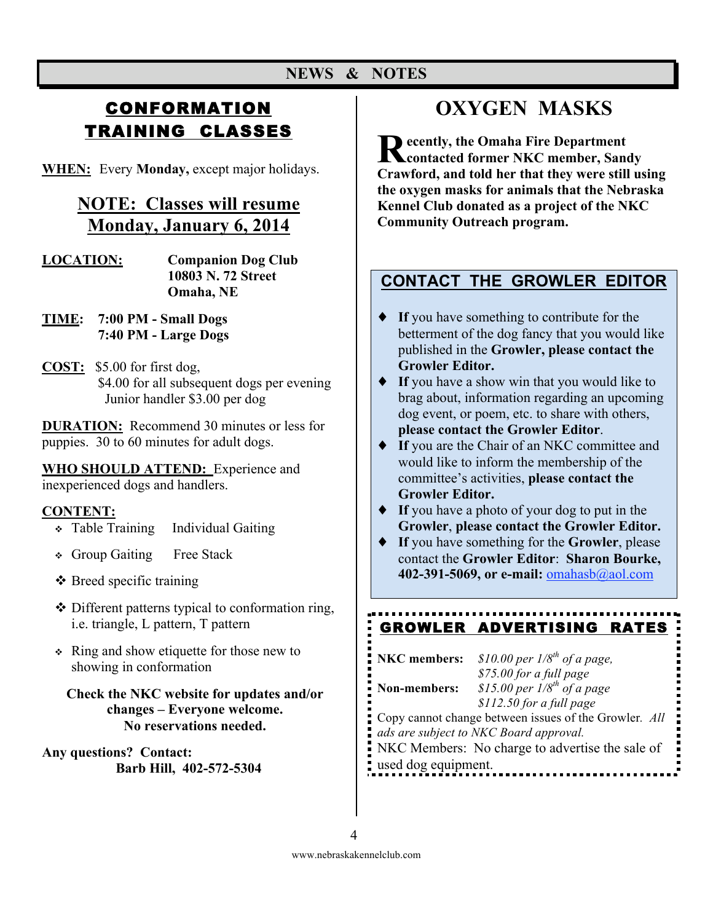# **CONFORMATION** TRAINING CLASSES

**WHEN:** Every **Monday,** except major holidays.

## **NOTE: Classes will resume Monday, January 6, 2014**

- **LOCATION: Companion Dog Club 10803 N. 72 Street Omaha, NE**
- **TIME: 7:00 PM Small Dogs 7:40 PM - Large Dogs**
- **COST:** \$5.00 for first dog, \$4.00 for all subsequent dogs per evening Junior handler \$3.00 per dog

**DURATION:** Recommend 30 minutes or less for puppies. 30 to 60 minutes for adult dogs.

**WHO SHOULD ATTEND:** Experience and inexperienced dogs and handlers.

### **CONTENT:**

- Table Training Individual Gaiting
- Group Gaiting Free Stack
- $\triangle$  Breed specific training
- ❖ Different patterns typical to conformation ring, i.e. triangle, L pattern, T pattern
- Ring and show etiquette for those new to showing in conformation

### **Check the NKC website for updates and/or changes – Everyone welcome. No reservations needed.**

**Any questions? Contact: Barb Hill, 402-572-5304**

# **OXYGEN MASKS**

**Recently, the Omaha Fire Department Contacted former NKC member, Sand contacted former NKC member, Sandy Crawford, and told her that they were still using the oxygen masks for animals that the Nebraska Kennel Club donated as a project of the NKC Community Outreach program.**

### **CONTACT THE GROWLER EDITOR**

- ♦ **If** you have something to contribute for the betterment of the dog fancy that you would like published in the **Growler, please contact the Growler Editor.**
- ♦ **If** you have a show win that you would like to brag about, information regarding an upcoming dog event, or poem, etc. to share with others, **please contact the Growler Editor**.
- ♦ **If** you are the Chair of an NKC committee and would like to inform the membership of the committee's activities, **please contact the Growler Editor.**
- ♦ **If** you have a photo of your dog to put in the **Growler**, **please contact the Growler Editor.**
- ♦ **If** you have something for the **Growler**, please contact the **Growler Editor**: **Sharon Bourke, 402-391-5069, or e-mail:** omahasb@aol.com

#### GROWLER ADVERTISING RATES

| <b>NKC</b> members:                                   | \$10.00 per $1/8^{th}$ of a page,                                                                  |  |
|-------------------------------------------------------|----------------------------------------------------------------------------------------------------|--|
| Non-members:                                          | \$75.00 for a full page<br>$$15.00$ per $1/8$ <sup>th</sup> of a page<br>$$112.50$ for a full page |  |
| Copy cannot change between issues of the Growler. All |                                                                                                    |  |
|                                                       | ads are subject to NKC Board approval.                                                             |  |
| NKC Members: No charge to advertise the sale of       |                                                                                                    |  |
| used dog equipment.                                   |                                                                                                    |  |
|                                                       |                                                                                                    |  |

4

www.nebraskakennelclub.com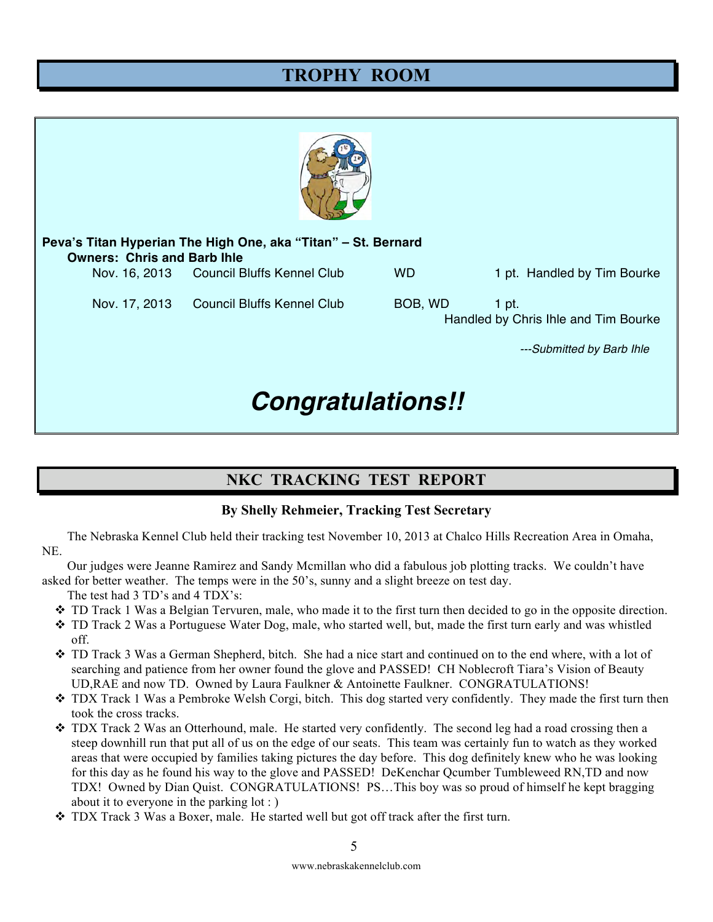# **TROPHY ROOM**



| Peva's Titan Hyperian The High One, aka "Titan" – St. Bernard<br><b>Owners: Chris and Barb Ihle</b> |                                          |           |                                                                            |  |
|-----------------------------------------------------------------------------------------------------|------------------------------------------|-----------|----------------------------------------------------------------------------|--|
|                                                                                                     | Nov. 16, 2013 Council Bluffs Kennel Club | <b>WD</b> | 1 pt. Handled by Tim Bourke                                                |  |
| Nov. 17, 2013                                                                                       | Council Bluffs Kennel Club               | BOB, WD   | 1 pt.<br>Handled by Chris Ihle and Tim Bourke<br>---Submitted by Barb Ihle |  |

# *Congratulations!!*

### **NKC TRACKING TEST REPORT**

### **By Shelly Rehmeier, Tracking Test Secretary**

The Nebraska Kennel Club held their tracking test November 10, 2013 at Chalco Hills Recreation Area in Omaha, NE.

Our judges were Jeanne Ramirez and Sandy Mcmillan who did a fabulous job plotting tracks. We couldn't have asked for better weather. The temps were in the 50's, sunny and a slight breeze on test day.

The test had 3 TD's and 4 TDX's:

- $\div$  TD Track 1 Was a Belgian Tervuren, male, who made it to the first turn then decided to go in the opposite direction.
- TD Track 2 Was a Portuguese Water Dog, male, who started well, but, made the first turn early and was whistled off.
- TD Track 3 Was a German Shepherd, bitch. She had a nice start and continued on to the end where, with a lot of searching and patience from her owner found the glove and PASSED! CH Noblecroft Tiara's Vision of Beauty UD,RAE and now TD. Owned by Laura Faulkner & Antoinette Faulkner. CONGRATULATIONS!
- TDX Track 1 Was a Pembroke Welsh Corgi, bitch. This dog started very confidently. They made the first turn then took the cross tracks.
- TDX Track 2 Was an Otterhound, male. He started very confidently. The second leg had a road crossing then a steep downhill run that put all of us on the edge of our seats. This team was certainly fun to watch as they worked areas that were occupied by families taking pictures the day before. This dog definitely knew who he was looking for this day as he found his way to the glove and PASSED! DeKenchar Qcumber Tumbleweed RN,TD and now TDX! Owned by Dian Quist. CONGRATULATIONS! PS…This boy was so proud of himself he kept bragging about it to everyone in the parking lot : )
- $\div$  TDX Track 3 Was a Boxer, male. He started well but got off track after the first turn.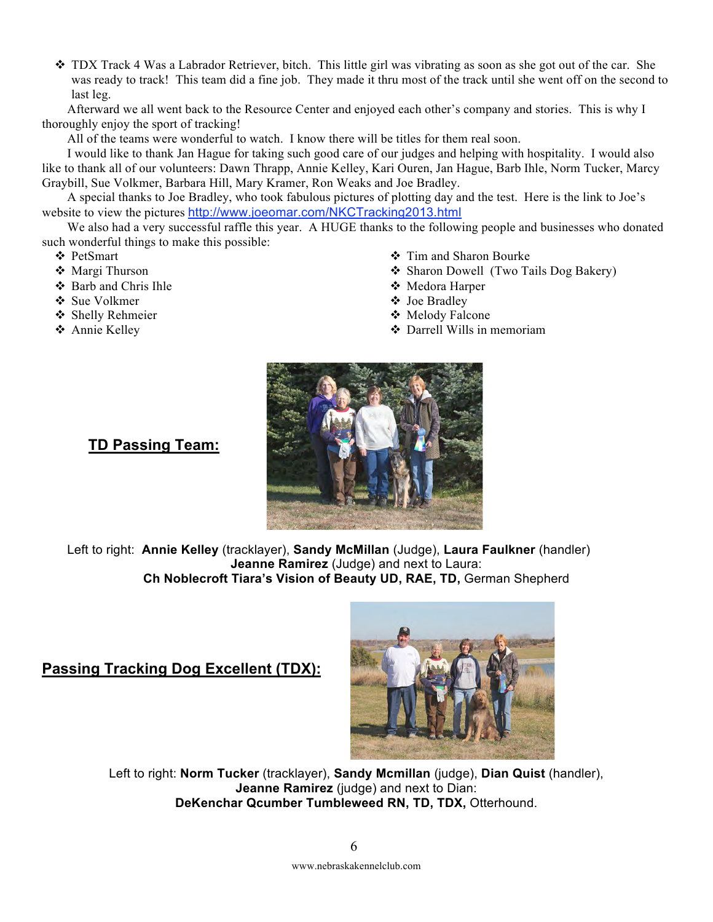$\div$  TDX Track 4 Was a Labrador Retriever, bitch. This little girl was vibrating as soon as she got out of the car. She was ready to track! This team did a fine job. They made it thru most of the track until she went off on the second to last leg.

Afterward we all went back to the Resource Center and enjoyed each other's company and stories. This is why I thoroughly enjoy the sport of tracking!

All of the teams were wonderful to watch. I know there will be titles for them real soon.

I would like to thank Jan Hague for taking such good care of our judges and helping with hospitality. I would also like to thank all of our volunteers: Dawn Thrapp, Annie Kelley, Kari Ouren, Jan Hague, Barb Ihle, Norm Tucker, Marcy Graybill, Sue Volkmer, Barbara Hill, Mary Kramer, Ron Weaks and Joe Bradley.

A special thanks to Joe Bradley, who took fabulous pictures of plotting day and the test. Here is the link to Joe's website to view the pictures http://www.joeomar.com/NKCTracking2013.html

We also had a very successful raffle this year. A HUGE thanks to the following people and businesses who donated such wonderful things to make this possible:

- PetSmart
- Margi Thurson
- $\div$  Barb and Chris Ihle
- Sue Volkmer
- Shelly Rehmeier
- Annie Kelley
- Tim and Sharon Bourke
- Sharon Dowell (Two Tails Dog Bakery)
- Medora Harper
- Joe Bradley
- Melody Falcone
- Darrell Wills in memoriam



### **TD Passing Team:**

Left to right: **Annie Kelley** (tracklayer), **Sandy McMillan** (Judge), **Laura Faulkner** (handler) **Jeanne Ramirez** (Judge) and next to Laura: **Ch Noblecroft Tiara's Vision of Beauty UD, RAE, TD,** German Shepherd

### **Passing Tracking Dog Excellent (TDX):**



Left to right: **Norm Tucker** (tracklayer), **Sandy Mcmillan** (judge), **Dian Quist** (handler), **Jeanne Ramirez** (judge) and next to Dian: **DeKenchar Qcumber Tumbleweed RN, TD, TDX,** Otterhound.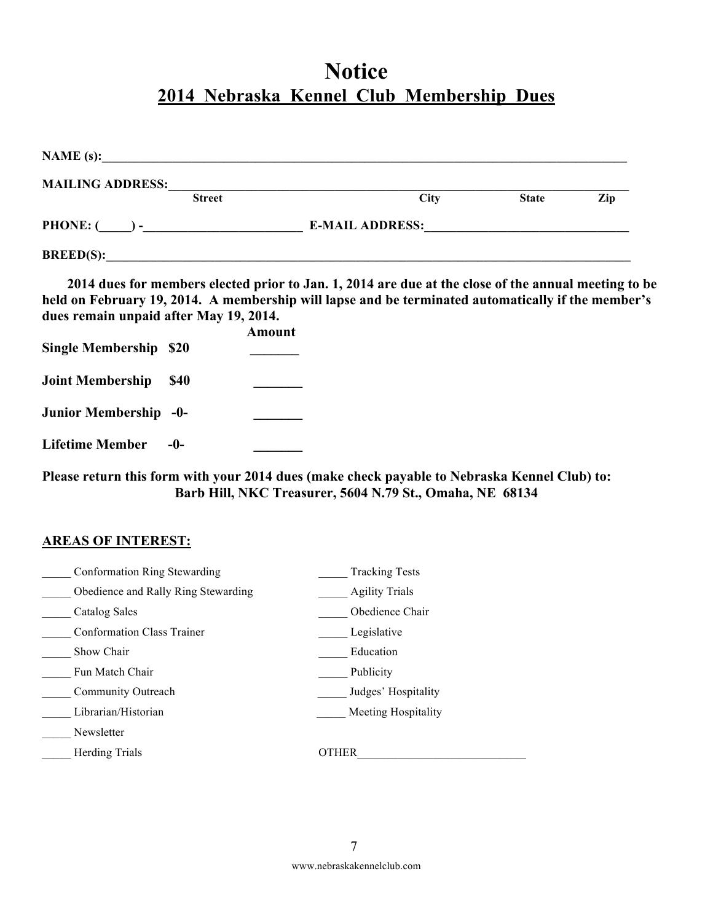# **Notice 2014 Nebraska Kennel Club Membership Dues**

| <b>MAILING ADDRESS:</b><br><b>Street</b> | City                   | <b>State</b>                                                                                                     | Zip |
|------------------------------------------|------------------------|------------------------------------------------------------------------------------------------------------------|-----|
|                                          | <b>E-MAIL ADDRESS:</b> | and the control of the control of the control of the control of the control of the control of the control of the |     |
| BREED(S):                                |                        |                                                                                                                  |     |

**2014 dues for members elected prior to Jan. 1, 2014 are due at the close of the annual meeting to be held on February 19, 2014. A membership will lapse and be terminated automatically if the member's dues remain unpaid after May 19, 2014.**

|                               |             | Amount |
|-------------------------------|-------------|--------|
| <b>Single Membership \$20</b> |             |        |
|                               |             |        |
| <b>Joint Membership</b>       | <b>\$40</b> |        |
|                               |             |        |
| Junior Membership -0-         |             |        |
|                               |             |        |
| <b>Lifetime Member</b>        | -0-         |        |

**Please return this form with your 2014 dues (make check payable to Nebraska Kennel Club) to: Barb Hill, NKC Treasurer, 5604 N.79 St., Omaha, NE 68134**

### **AREAS OF INTEREST:**

| Conformation Ring Stewarding        | <b>Tracking Tests</b>      |
|-------------------------------------|----------------------------|
| Obedience and Rally Ring Stewarding | <b>Agility Trials</b>      |
| <b>Catalog Sales</b>                | Obedience Chair            |
| <b>Conformation Class Trainer</b>   | Legislative                |
| Show Chair                          | Education                  |
| Fun Match Chair                     | Publicity                  |
| Community Outreach                  | Judges' Hospitality        |
| Librarian/Historian                 | <b>Meeting Hospitality</b> |
| Newsletter                          |                            |
| <b>Herding Trials</b>               | <b>OTHER</b>               |
|                                     |                            |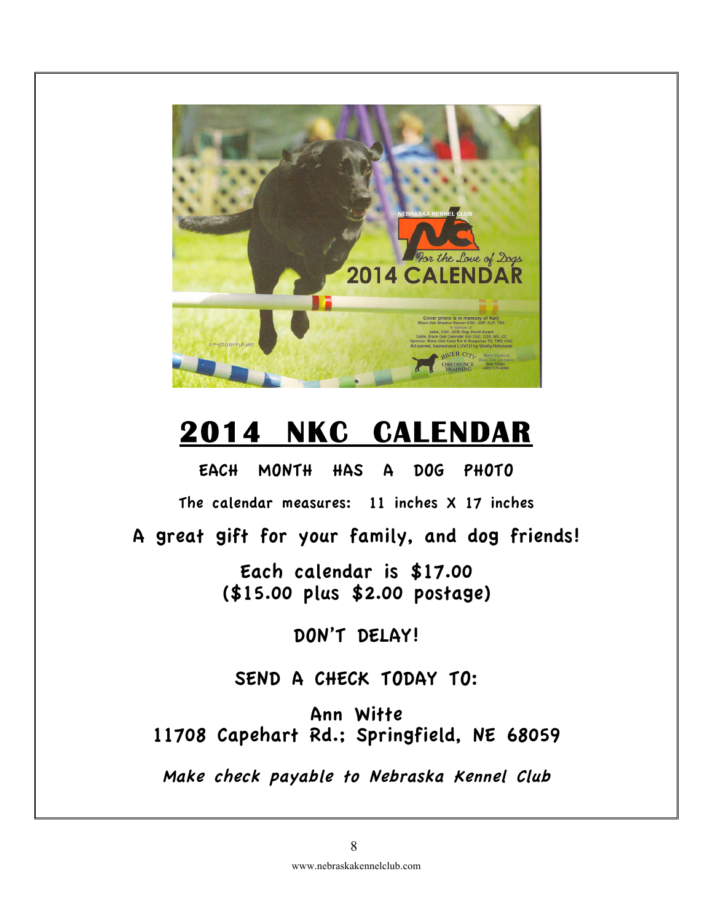

# **2014 NKC CALENDAR**

EACH MONTH HAS A DOG PHOTO

The calendar measures: 11 inches X 17 inches

A great gift for your family, and dog friends!

Each calendar is \$17.00 (\$15.00 plus \$2.00 postage)

DON'T DELAY!

### SEND A CHECK TODAY TO:

Ann Witte 11708 Capehart Rd.; Springfield, NE 68059

Make check payable to Nebraska Kennel Club